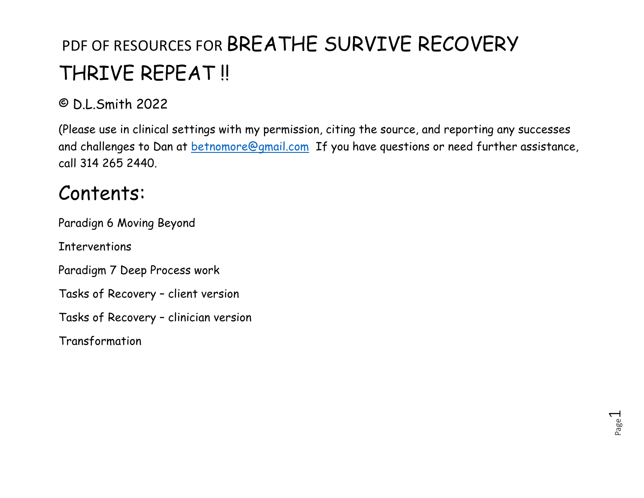#### © D.L.Smith 2022

(Please use in clinical settings with my permission, citing the source, and reporting any successes and challenges to Dan at betnomore@gmail.com If you have questions or need further assistance, call 314 265 2440.

#### Contents:

Paradign 6 Moving Beyond

Interventions

Paradigm 7 Deep Process work

Tasks of Recovery – client version

Tasks of Recovery – clinician version

Transformation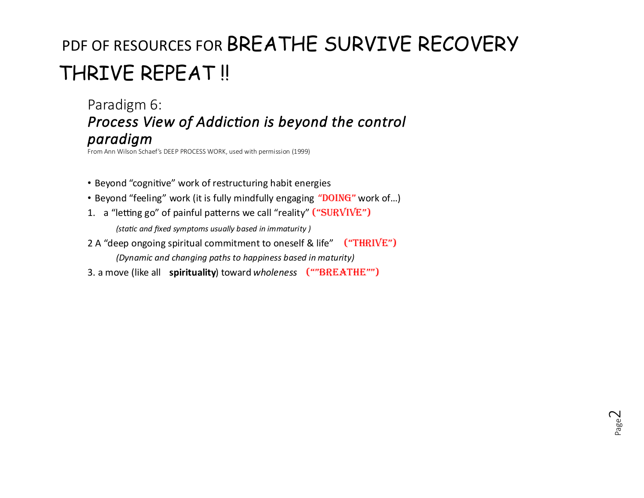Paradigm 6: **Process View of Addiction is beyond the control** *paradigm*

From Ann Wilson Schaef's DEEP PROCESS WORK, used with permission (1999)

- Beyond "cognitive" work of restructuring habit energies
- Beyond "feeling" work (it is fully mindfully engaging "DOING" work of...)
- 1. a "letting go" of painful patterns we call "reality" ("SURVIVE")

*(sta%c and fixed symptoms usually based in immaturity )*

2 A "deep ongoing spiritual commitment to oneself & life" ("THRIVE")

*(Dynamic and changing paths to happiness based in maturity)*

3. a move (like all **spirituality**) toward *wholeness* (""BREATHE"")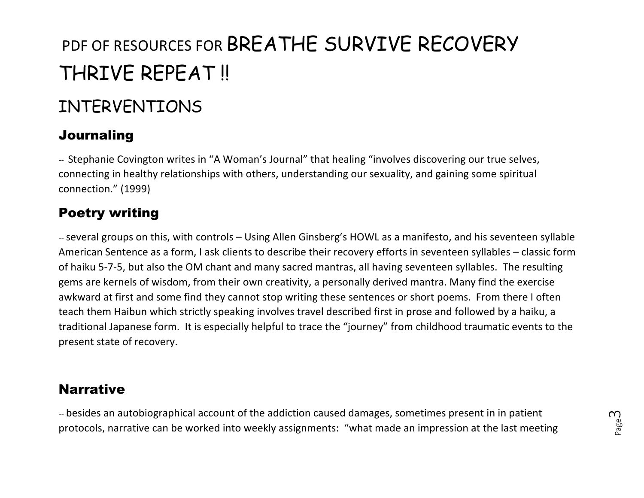#### INTERVENTIONS

#### Journaling

-- Stephanie Covington writes in "A Woman's Journal" that healing "involves discovering our true selves, connecting in healthy relationships with others, understanding our sexuality, and gaining some spiritual connection." (1999)

#### Poetry writing

--several groups on this, with controls – Using Allen Ginsberg's HOWL as a manifesto, and his seventeen syllable American Sentence as a form, I ask clients to describe their recovery efforts in seventeen syllables – classic form of haiku 5-7-5, but also the OM chant and many sacred mantras, all having seventeen syllables. The resulting gems are kernels of wisdom, from their own creativity, a personally derived mantra. Many find the exercise awkward at first and some find they cannot stop writing these sentences or short poems. From there I often teach them Haibun which strictly speaking involves travel described first in prose and followed by a haiku, a traditional Japanese form. It is especially helpful to trace the "journey" from childhood traumatic events to the present state of recovery.

#### **Narrative**

-- besides an autobiographical account of the addiction caused damages, sometimes present in in patient protocols, narrative can be worked into weekly assignments: "what made an impression at the last meeting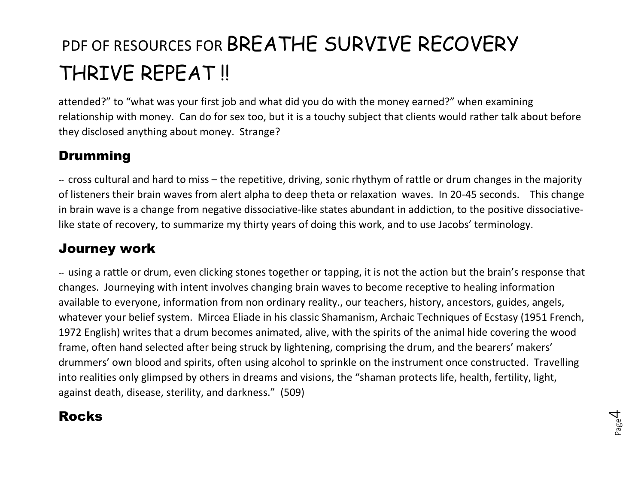attended?" to "what was your first job and what did you do with the money earned?" when examining relationship with money. Can do for sex too, but it is a touchy subject that clients would rather talk about before they disclosed anything about money. Strange?

#### Drumming

-- cross cultural and hard to miss – the repetitive, driving, sonic rhythym of rattle or drum changes in the majority of listeners their brain waves from alert alpha to deep theta or relaxation waves. In 20-45 seconds. This change in brain wave is a change from negative dissociative-like states abundant in addiction, to the positive dissociativelike state of recovery, to summarize my thirty years of doing this work, and to use Jacobs' terminology.

#### Journey work

-- using a rattle or drum, even clicking stones together or tapping, it is not the action but the brain's response that changes. Journeying with intent involves changing brain waves to become receptive to healing information available to everyone, information from non ordinary reality., our teachers, history, ancestors, guides, angels, whatever your belief system. Mircea Eliade in his classic Shamanism, Archaic Techniques of Ecstasy (1951 French, 1972 English) writes that a drum becomes animated, alive, with the spirits of the animal hide covering the wood frame, often hand selected after being struck by lightening, comprising the drum, and the bearers' makers' drummers' own blood and spirits, often using alcohol to sprinkle on the instrument once constructed. Travelling into realities only glimpsed by others in dreams and visions, the "shaman protects life, health, fertility, light, against death, disease, sterility, and darkness." (509)

#### Rocks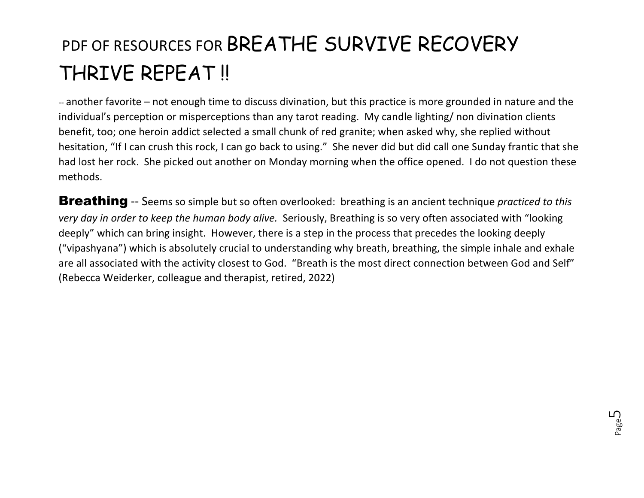-- another favorite – not enough time to discuss divination, but this practice is more grounded in nature and the individual's perception or misperceptions than any tarot reading. My candle lighting/ non divination clients benefit, too; one heroin addict selected a small chunk of red granite; when asked why, she replied without hesitation, "If I can crush this rock, I can go back to using." She never did but did call one Sunday frantic that she had lost her rock. She picked out another on Monday morning when the office opened. I do not question these methods.

Breathing -- Seems so simple but so often overlooked: breathing is an ancient technique *practiced to this very day in order to keep the human body alive.* Seriously, Breathing is so very often associated with "looking deeply" which can bring insight. However, there is a step in the process that precedes the looking deeply ("vipashyana") which is absolutely crucial to understanding why breath, breathing, the simple inhale and exhale are all associated with the activity closest to God. "Breath is the most direct connection between God and Self" (Rebecca Weiderker, colleague and therapist, retired, 2022)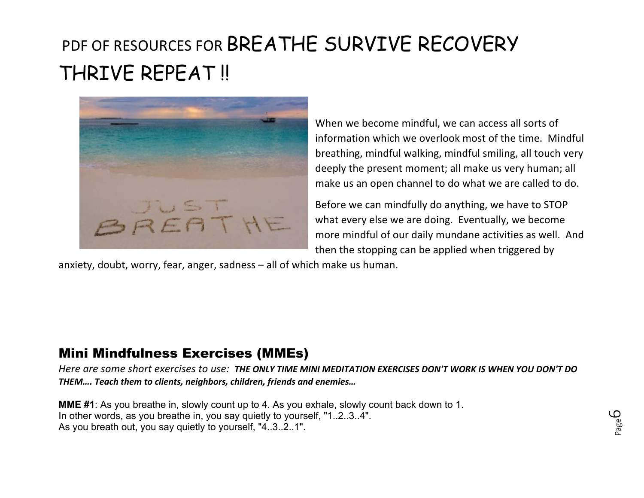

When we become mindful, we can access all sorts of information which we overlook most of the time. Mindful breathing, mindful walking, mindful smiling, all touch very deeply the present moment; all make us very human; all make us an open channel to do what we are called to do.

Before we can mindfully do anything, we have to STOP what every else we are doing. Eventually, we become more mindful of our daily mundane activities as well. And then the stopping can be applied when triggered by

anxiety, doubt, worry, fear, anger, sadness – all of which make us human.

#### Mini Mindfulness Exercises (MMEs)

*Here are some short exercises to use: THE ONLY TIME MINI MEDITATION EXERCISES DON'T WORK IS WHEN YOU DON'T DO THEM…. Teach them to clients, neighbors, children, friends and enemies…*

**MME #1**: As you breathe in, slowly count up to 4. As you exhale, slowly count back down to 1. In other words, as you breathe in, you say quietly to yourself, "1..2..3..4". As you breath out, you say quietly to yourself, "4..3..2..1".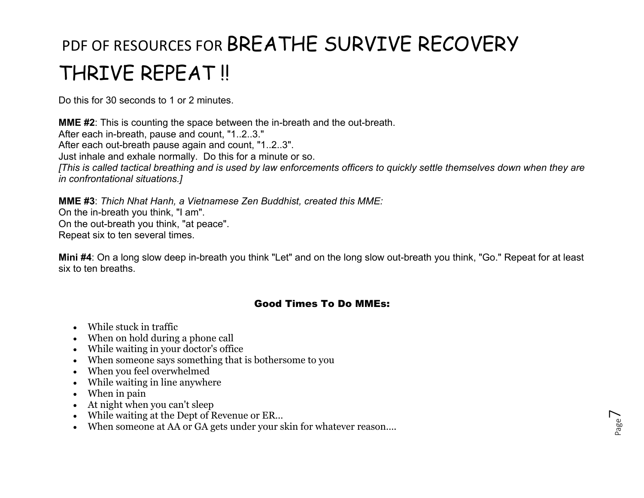Do this for 30 seconds to 1 or 2 minutes.

**MME #2**: This is counting the space between the in-breath and the out-breath. After each in-breath, pause and count, "1..2..3." After each out-breath pause again and count, "1..2..3". Just inhale and exhale normally. Do this for a minute or so. *[This is called tactical breathing and is used by law enforcements officers to quickly settle themselves down when they are in confrontational situations.]*

**MME #3**: *Thich Nhat Hanh, a Vietnamese Zen Buddhist, created this MME:* On the in-breath you think, "I am". On the out-breath you think, "at peace". Repeat six to ten several times.

**Mini #4**: On a long slow deep in-breath you think "Let" and on the long slow out-breath you think, "Go." Repeat for at least six to ten breaths.

#### Good Times To Do MMEs:

- While stuck in traffic
- When on hold during a phone call
- While waiting in your doctor's office
- When someone says something that is bothersome to you
- When you feel overwhelmed
- While waiting in line anywhere
- When in pain
- At night when you can't sleep
- While waiting at the Dept of Revenue or ER…
- When someone at AA or GA gets under your skin for whatever reason....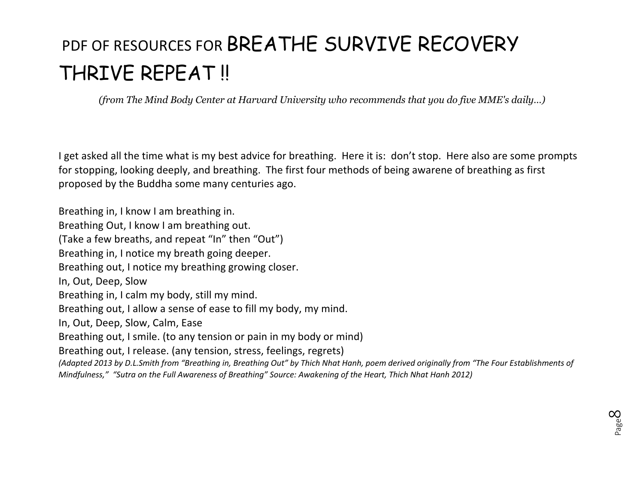*(from The Mind Body Center at Harvard University who recommends that you do five MME's daily…)*

I get asked all the time what is my best advice for breathing. Here it is: don't stop. Here also are some prompts for stopping, looking deeply, and breathing. The first four methods of being awarene of breathing as first proposed by the Buddha some many centuries ago.

Breathing in, I know I am breathing in. Breathing Out, I know I am breathing out. (Take a few breaths, and repeat "In" then "Out") Breathing in, I notice my breath going deeper. Breathing out, I notice my breathing growing closer. In, Out, Deep, Slow Breathing in, I calm my body, still my mind. Breathing out, I allow a sense of ease to fill my body, my mind. In, Out, Deep, Slow, Calm, Ease Breathing out, I smile. (to any tension or pain in my body or mind) Breathing out, I release. (any tension, stress, feelings, regrets) *(Adapted 2013 by D.L.Smith from "Breathing in, Breathing Out" by Thich Nhat Hanh, poem derived originally from "The Four Establishments of Mindfulness," "Sutra on the Full Awareness of Breathing" Source: Awakening of the Heart, Thich Nhat Hanh 2012)*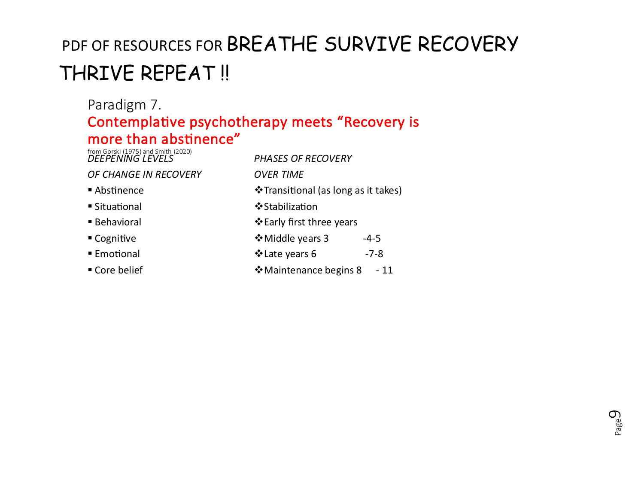Page  $\mathcal{O}_2$ 

#### Paradigm 7. Contemplative psychotherapy meets "Recovery is more than abstinence"

| from Gorski (1975) and Smith (2020)<br>DEEPENING LEVELS | <b>PHASES OF RECOVERY</b>                          |  |  |
|---------------------------------------------------------|----------------------------------------------------|--|--|
| OF CHANGE IN RECOVERY                                   | <b>OVER TIME</b>                                   |  |  |
| Abstinence                                              | <i><b>V</b></i> Transitional (as long as it takes) |  |  |
| ■ Situational                                           | ❖ Stabilization                                    |  |  |
| <b>Behavioral</b>                                       | ❖ Early first three years                          |  |  |
| ■ Cognitive                                             | ❖ Middle years 3<br>$-4-5$                         |  |  |
| ■ Emotional                                             | ❖ Late years 6<br>$-7 - 8$                         |  |  |
| ■ Core belief                                           | ❖ Maintenance begins 8<br>- 11                     |  |  |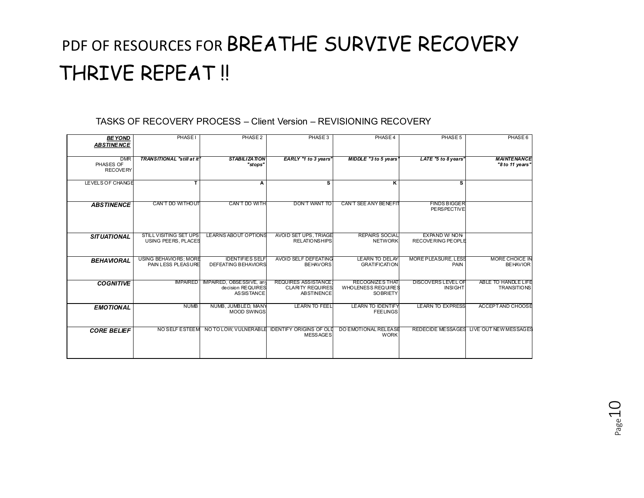#### TASKS OF RECOVERY PROCESS – Client Version – REVISIONING RECOVERY

| <b>BE YOND</b><br><b>ABSTINENCE</b>        | <b>PHASEI</b>                                        | PHASE <sub>2</sub>                                                 | PHASE 3                                                                    | PHASE 4                                                         | PHASE 5                                     | PHASE 6                                   |
|--------------------------------------------|------------------------------------------------------|--------------------------------------------------------------------|----------------------------------------------------------------------------|-----------------------------------------------------------------|---------------------------------------------|-------------------------------------------|
| <b>DMR</b><br>PHASES OF<br><b>RECOVERY</b> | <b>TRANSITIONAL "still at it!</b>                    | <b>STABILIZATION</b><br>"stops"                                    | EARLY "1 to 3 years"                                                       | <b>MIDDLE</b> "3 to 5 years"                                    | LATE "5 to 8 years"                         | <b>MAINTENANCE</b><br>"8 to 11 years"     |
| LEVELS OF CHANGE                           | T                                                    | А                                                                  | s                                                                          | κ                                                               | s                                           |                                           |
| <b>ABSTINENCE</b>                          | CAN'T DO WITHOUT                                     | CAN'T DO WITH                                                      | <b>DON'T WANT TO</b>                                                       | <b>CAN'T SEE ANY BENEFIT</b>                                    | <b>FINDS BIGGER</b><br><b>PERSPECTIVE</b>   |                                           |
| <b>SITUATIONAL</b>                         | <b>STILL VISITING SET UPS</b><br>USING PEERS, PLACES | LEARNS ABOUT OPTIONS                                               | AVOID SET UPS, TRIAGE<br><b>RELATIONSHIPS</b>                              | <b>REPAIRS SOCIAL</b><br><b>NETWORK</b>                         | <b>EXPAND W/ NON</b><br>RECOVERING PEOPLE   |                                           |
| <b>BEHAVIORAL</b>                          | USING BEHAVIORS: MORE<br>PAIN LESS PLEASURE          | <b>IDENTIFIES SELF</b><br>DEFEATING BEHAVIORS                      | AVOID SELF DEFEATING<br><b>BEHAVORS</b>                                    | <b>LEARN TO DELAY</b><br><b>GRATIFICATION</b>                   | <b>MORE PLEASURE, LESS</b><br>PAIN          | MORE CHOICE IN<br><b>BEHAVIOR</b>         |
| <b>COGNITIVE</b>                           | <b>IMPAIRED</b>                                      | IMPAIRED, OBSESSIVE, any<br>decision REQUIRES<br><b>ASSISTANCE</b> | <b>REQUIRES ASSISTANCE</b><br><b>CLARITY REQUIRES</b><br><b>ABSTINENCE</b> | <b>RECOGNIZES THAT</b><br>WHOLENESS REQUIRES<br><b>SOBRIETY</b> | <b>DISCOVERS LEVEL OF</b><br><b>INSIGHT</b> | ABLE TO HANDLE LIFE<br><b>TRANSITIONS</b> |
| <b>EMOTIONAL</b>                           | <b>NUMB</b>                                          | NUMB, JUMBLED, MANY<br><b>MOOD SWINGS</b>                          | <b>LEARN TO FEEL</b>                                                       | <b>LEARN TO IDENTIFY</b><br><b>FEELINGS</b>                     | <b>LEARN TO EXPRESS</b>                     | ACCEPT AND CHOOSE                         |
| <b>CORE BELIEF</b>                         |                                                      | NO SELF ESTEEM NO TO LOW. VULNERABLE                               | <b>IDENTIFY ORIGINS OF OLD</b><br><b>MESSAGES</b>                          | DO EMOTIONAL RELEASE<br><b>WORK</b>                             |                                             | REDECIDE MESSAGES LIVE OUT NEW MESSAGES   |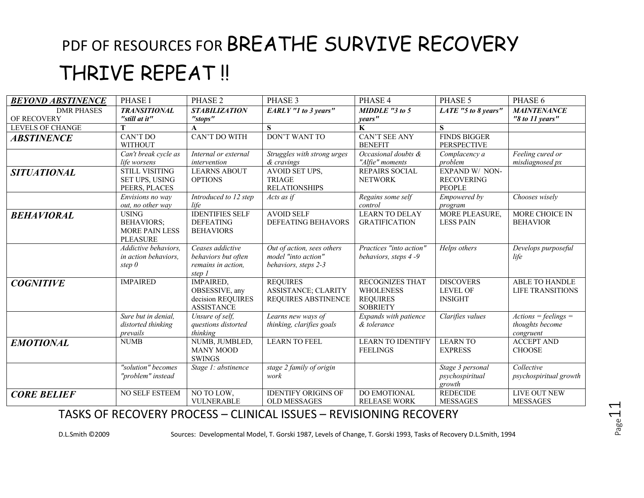| <b>BEYOND ABSTINENCE</b> | <b>PHASE I</b>                                                                | PHASE <sub>2</sub>                                                           | PHASE 3                                                                   | PHASE 4                                                                          | PHASE 5                                               | PHASE 6                                                |
|--------------------------|-------------------------------------------------------------------------------|------------------------------------------------------------------------------|---------------------------------------------------------------------------|----------------------------------------------------------------------------------|-------------------------------------------------------|--------------------------------------------------------|
| <b>DMR PHASES</b>        | <b>TRANSITIONAL</b>                                                           | <b>STABILIZATION</b>                                                         | <b>EARLY</b> "1 to 3 years"                                               | $MIDDLE$ "3 to 5                                                                 | LATE "5 to 8 years"                                   | <b>MAINTENANCE</b>                                     |
| OF RECOVERY              | "still at it"                                                                 | "stops"                                                                      |                                                                           | years"                                                                           |                                                       | "8 to 11 years"                                        |
| <b>LEVELS OF CHANGE</b>  |                                                                               |                                                                              | S                                                                         | K                                                                                | $\mathbf{s}$                                          |                                                        |
| <i><b>ABSTINENCE</b></i> | CAN'T DO<br><b>WITHOUT</b>                                                    | <b>CAN'T DO WITH</b>                                                         | <b>DON'T WANT TO</b>                                                      | <b>CAN'T SEE ANY</b><br><b>BENEFIT</b>                                           | <b>FINDS BIGGER</b><br><b>PERSPECTIVE</b>             |                                                        |
|                          | Can't break cycle as<br>life worsens                                          | Internal or external<br>intervention                                         | Struggles with strong urges<br>& cravings                                 | Occasional doubts &<br>"Alfie" moments                                           | Complacency a<br>problem                              | Feeling cured or<br>misdiagnosed px                    |
| <b>SITUATIONAL</b>       | <b>STILL VISITING</b><br>SET UPS, USING<br>PEERS, PLACES                      | <b>LEARNS ABOUT</b><br><b>OPTIONS</b>                                        | AVOID SET UPS,<br><b>TRIAGE</b><br><b>RELATIONSHIPS</b>                   | REPAIRS SOCIAL<br><b>NETWORK</b>                                                 | EXPAND W/ NON-<br><b>RECOVERING</b><br><b>PEOPLE</b>  |                                                        |
|                          | Envisions no way<br>out, no other way                                         | Introduced to 12 step<br>life                                                | Acts as if                                                                | Regains some self<br>control                                                     | Empowered by<br>program                               | Chooses wisely                                         |
| <b>BEHAVIORAL</b>        | <b>USING</b><br><b>BEHAVIORS;</b><br><b>MORE PAIN LESS</b><br><b>PLEASURE</b> | <b>IDENTIFIES SELF</b><br><b>DEFEATING</b><br><b>BEHAVIORS</b>               | <b>AVOID SELF</b><br>DEFEATING BEHAVORS                                   | <b>LEARN TO DELAY</b><br><b>GRATIFICATION</b>                                    | <b>MORE PLEASURE,</b><br><b>LESS PAIN</b>             | MORE CHOICE IN<br><b>BEHAVIOR</b>                      |
|                          | Addictive behaviors,<br>in action behaviors,<br>step $\theta$                 | Ceases addictive<br>behaviors but often<br>remains in action,<br>step 1      | Out of action, sees others<br>model "into action"<br>behaviors, steps 2-3 | Practices "into action"<br>behaviors, steps 4-9                                  | Helps others                                          | Develops purposeful<br>life                            |
| <b>COGNITIVE</b>         | <b>IMPAIRED</b>                                                               | <b>IMPAIRED,</b><br>OBSESSIVE, any<br>decision REQUIRES<br><b>ASSISTANCE</b> | <b>REQUIRES</b><br>ASSISTANCE; CLARITY<br>REQUIRES ABSTINENCE             | <b>RECOGNIZES THAT</b><br><b>WHOLENESS</b><br><b>REQUIRES</b><br><b>SOBRIETY</b> | <b>DISCOVERS</b><br><b>LEVEL OF</b><br><b>INSIGHT</b> | <b>ABLE TO HANDLE</b><br>LIFE TRANSITIONS              |
|                          | Sure but in denial,<br>distorted thinking<br>prevails                         | Unsure of self.<br>questions distorted<br>thinking                           | Learns new ways of<br>thinking, clarifies goals                           | Expands with patience<br>& tolerance                                             | Clarifies values                                      | $Actions = feelings =$<br>thoughts become<br>congruent |
| <b>EMOTIONAL</b>         | <b>NUMB</b>                                                                   | NUMB, JUMBLED,<br><b>MANY MOOD</b><br><b>SWINGS</b>                          | <b>LEARN TO FEEL</b>                                                      | <b>LEARN TO IDENTIFY</b><br><b>FEELINGS</b>                                      | <b>LEARN TO</b><br><b>EXPRESS</b>                     | <b>ACCEPT AND</b><br><b>CHOOSE</b>                     |
|                          | "solution" becomes<br>"problem" instead                                       | Stage 1: abstinence                                                          | stage 2 family of origin<br>work                                          |                                                                                  | Stage 3 personal<br>psychospiritual<br>growth         | Collective<br>psychospiritual growth                   |
| <b>CORE BELIEF</b>       | NO SELF ESTEEM                                                                | NO TO LOW.<br><b>VULNERABLE</b>                                              | <b>IDENTIFY ORIGINS OF</b><br><b>OLD MESSAGES</b>                         | <b>DO EMOTIONAL</b><br><b>RELEASE WORK</b>                                       | <b>REDECIDE</b><br><b>MESSAGES</b>                    | <b>LIVE OUT NEW</b><br><b>MESSAGES</b>                 |

#### TASKS OF RECOVERY PROCESS – CLINICAL ISSUES – REVISIONING RECOVERY

D.L.Smith ©2009 Sources: Developmental Model, T. Gorski 1987, Levels of Change, T. Gorski 1993, Tasks of Recovery D.L.Smith, 1994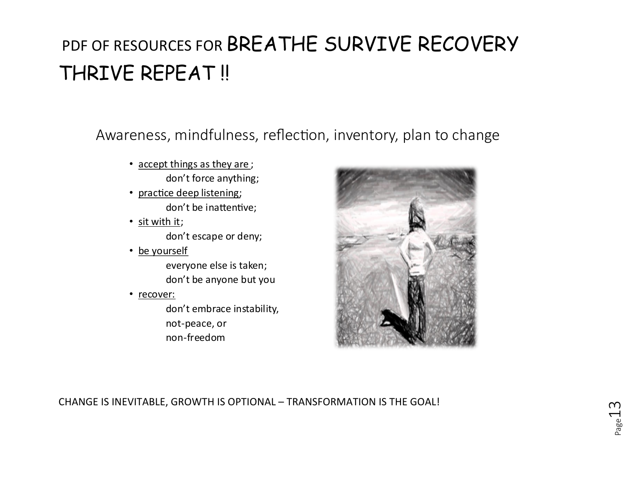Awareness, mindfulness, reflection, inventory, plan to change

- accept things as they are ; don't force anything;
- practice deep listening; don't be inattentive;
- sit with it; don't escape or deny;
- be yourself everyone else is taken; don't be anyone but you
- recover:

don't embrace instability, not-peace, or non-freedom



CHANGE IS INEVITABLE, GROWTH IS OPTIONAL – TRANSFORMATION IS THE GOAL!